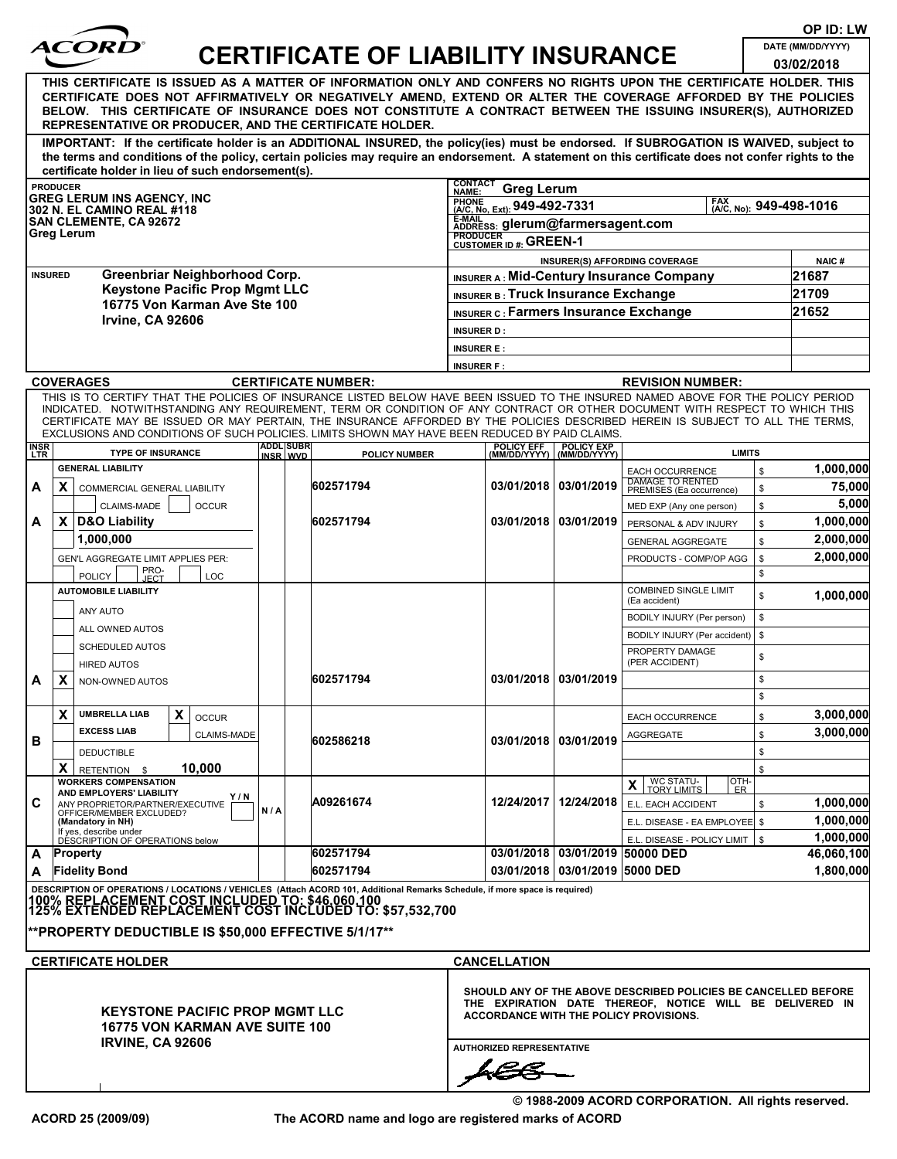| OP ID: LW                                                                                                                                                                                                                                                                                                                                                                                                        |                                                                                                                                                                                                                                                                                                                                                                                                  |                   |                              |                            |                                                                                  |                                                                                                                                                                                                          |                                   |                                                     |          |                |  |  |
|------------------------------------------------------------------------------------------------------------------------------------------------------------------------------------------------------------------------------------------------------------------------------------------------------------------------------------------------------------------------------------------------------------------|--------------------------------------------------------------------------------------------------------------------------------------------------------------------------------------------------------------------------------------------------------------------------------------------------------------------------------------------------------------------------------------------------|-------------------|------------------------------|----------------------------|----------------------------------------------------------------------------------|----------------------------------------------------------------------------------------------------------------------------------------------------------------------------------------------------------|-----------------------------------|-----------------------------------------------------|----------|----------------|--|--|
| ACORI                                                                                                                                                                                                                                                                                                                                                                                                            | <b>CERTIFICATE OF LIABILITY INSURANCE</b>                                                                                                                                                                                                                                                                                                                                                        | DATE (MM/DD/YYYY) |                              |                            |                                                                                  |                                                                                                                                                                                                          |                                   |                                                     |          |                |  |  |
|                                                                                                                                                                                                                                                                                                                                                                                                                  |                                                                                                                                                                                                                                                                                                                                                                                                  | 03/02/2018        |                              |                            |                                                                                  |                                                                                                                                                                                                          |                                   |                                                     |          |                |  |  |
| THIS CERTIFICATE IS ISSUED AS A MATTER OF INFORMATION ONLY AND CONFERS NO RIGHTS UPON THE CERTIFICATE HOLDER. THIS<br>CERTIFICATE DOES NOT AFFIRMATIVELY OR NEGATIVELY AMEND, EXTEND OR ALTER THE COVERAGE AFFORDED BY THE POLICIES<br>BELOW. THIS CERTIFICATE OF INSURANCE DOES NOT CONSTITUTE A CONTRACT BETWEEN THE ISSUING INSURER(S), AUTHORIZED<br>REPRESENTATIVE OR PRODUCER, AND THE CERTIFICATE HOLDER. |                                                                                                                                                                                                                                                                                                                                                                                                  |                   |                              |                            |                                                                                  |                                                                                                                                                                                                          |                                   |                                                     |          |                |  |  |
|                                                                                                                                                                                                                                                                                                                                                                                                                  | IMPORTANT: If the certificate holder is an ADDITIONAL INSURED, the policy(ies) must be endorsed. If SUBROGATION IS WAIVED, subject to<br>the terms and conditions of the policy, certain policies may require an endorsement. A statement on this certificate does not confer rights to the                                                                                                      |                   |                              |                            |                                                                                  |                                                                                                                                                                                                          |                                   |                                                     |          |                |  |  |
|                                                                                                                                                                                                                                                                                                                                                                                                                  | certificate holder in lieu of such endorsement(s).                                                                                                                                                                                                                                                                                                                                               |                   |                              |                            | <b>CONTACT</b>                                                                   |                                                                                                                                                                                                          |                                   |                                                     |          |                |  |  |
| <b>PRODUCER</b><br><b>GREG LERUM INS AGENCY, INC</b>                                                                                                                                                                                                                                                                                                                                                             |                                                                                                                                                                                                                                                                                                                                                                                                  |                   |                              |                            |                                                                                  | <b>Greg Lerum</b><br>NAME:<br><b>PHONE</b><br><b>FAX</b><br><b>FRUNE</b> (A/C, No. Ext): 949-492-7331<br>[AA, No): 949-498-1016                                                                          |                                   |                                                     |          |                |  |  |
|                                                                                                                                                                                                                                                                                                                                                                                                                  | 302 N. EL CAMINO REAL #118<br><b>SAN CLEMENTE, CA 92672</b>                                                                                                                                                                                                                                                                                                                                      |                   |                              |                            | E-MAIL<br>ADDRESS: glerum@farmersagent.com                                       |                                                                                                                                                                                                          |                                   |                                                     |          |                |  |  |
|                                                                                                                                                                                                                                                                                                                                                                                                                  | Greg Lerum                                                                                                                                                                                                                                                                                                                                                                                       |                   |                              |                            | <b>PRODUCER</b><br>CUSTOMER ID #: GREEN-1                                        |                                                                                                                                                                                                          |                                   |                                                     |          |                |  |  |
|                                                                                                                                                                                                                                                                                                                                                                                                                  | Greenbriar Neighborhood Corp.<br><b>INSURED</b>                                                                                                                                                                                                                                                                                                                                                  |                   |                              |                            | INSURER(S) AFFORDING COVERAGE<br><b>INSURER A: Mid-Century Insurance Company</b> |                                                                                                                                                                                                          |                                   |                                                     |          | NAIC#<br>21687 |  |  |
|                                                                                                                                                                                                                                                                                                                                                                                                                  | <b>Keystone Pacific Prop Mgmt LLC</b>                                                                                                                                                                                                                                                                                                                                                            |                   |                              |                            | INSURER B: Truck Insurance Exchange                                              |                                                                                                                                                                                                          |                                   |                                                     |          | 21709          |  |  |
|                                                                                                                                                                                                                                                                                                                                                                                                                  | 16775 Von Karman Ave Ste 100                                                                                                                                                                                                                                                                                                                                                                     |                   |                              |                            |                                                                                  |                                                                                                                                                                                                          |                                   | <b>INSURER C: Farmers Insurance Exchange</b>        |          | 21652          |  |  |
|                                                                                                                                                                                                                                                                                                                                                                                                                  | Irvine, CA 92606                                                                                                                                                                                                                                                                                                                                                                                 |                   |                              |                            | <b>INSURER D:</b>                                                                |                                                                                                                                                                                                          |                                   |                                                     |          |                |  |  |
|                                                                                                                                                                                                                                                                                                                                                                                                                  |                                                                                                                                                                                                                                                                                                                                                                                                  |                   |                              |                            | <b>INSURER E:</b>                                                                |                                                                                                                                                                                                          |                                   |                                                     |          |                |  |  |
|                                                                                                                                                                                                                                                                                                                                                                                                                  |                                                                                                                                                                                                                                                                                                                                                                                                  |                   |                              |                            | <b>INSURER F:</b>                                                                |                                                                                                                                                                                                          |                                   |                                                     |          |                |  |  |
|                                                                                                                                                                                                                                                                                                                                                                                                                  | <b>COVERAGES</b>                                                                                                                                                                                                                                                                                                                                                                                 |                   |                              | <b>CERTIFICATE NUMBER:</b> |                                                                                  |                                                                                                                                                                                                          |                                   | <b>REVISION NUMBER:</b>                             |          |                |  |  |
|                                                                                                                                                                                                                                                                                                                                                                                                                  | THIS IS TO CERTIFY THAT THE POLICIES OF INSURANCE LISTED BELOW HAVE BEEN ISSUED TO THE INSURED NAMED ABOVE FOR THE POLICY PERIOD<br>INDICATED. NOTWITHSTANDING ANY REQUIREMENT, TERM OR CONDITION OF ANY CONTRACT OR OTHER DOCUMENT WITH RESPECT TO WHICH THIS<br>CERTIFICATE MAY BE ISSUED OR MAY PERTAIN, THE INSURANCE AFFORDED BY THE POLICIES DESCRIBED HEREIN IS SUBJECT TO ALL THE TERMS, |                   |                              |                            |                                                                                  |                                                                                                                                                                                                          |                                   |                                                     |          |                |  |  |
|                                                                                                                                                                                                                                                                                                                                                                                                                  | EXCLUSIONS AND CONDITIONS OF SUCH POLICIES. LIMITS SHOWN MAY HAVE BEEN REDUCED BY PAID CLAIMS.                                                                                                                                                                                                                                                                                                   |                   |                              |                            |                                                                                  |                                                                                                                                                                                                          |                                   |                                                     |          |                |  |  |
| <b>INSR</b><br><b>LTR</b>                                                                                                                                                                                                                                                                                                                                                                                        | <b>TYPE OF INSURANCE</b>                                                                                                                                                                                                                                                                                                                                                                         |                   | <b>ADDL SUBR</b><br>INSR WVD | POLICY NUMBER              |                                                                                  | <b>POLICY EFF</b><br>(MM/DD/YYYY)                                                                                                                                                                        | <b>POLICY EXP</b><br>(MM/DD/YYYY) | <b>LIMITS</b>                                       |          |                |  |  |
|                                                                                                                                                                                                                                                                                                                                                                                                                  | <b>GENERAL LIABILITY</b>                                                                                                                                                                                                                                                                                                                                                                         |                   |                              |                            |                                                                                  |                                                                                                                                                                                                          |                                   | EACH OCCURRENCE<br><b>DAMAGE TO RENTED</b>          | \$       | 1,000,000      |  |  |
| А                                                                                                                                                                                                                                                                                                                                                                                                                | X<br>COMMERCIAL GENERAL LIABILITY                                                                                                                                                                                                                                                                                                                                                                |                   |                              | 602571794                  |                                                                                  |                                                                                                                                                                                                          | 03/01/2018 03/01/2019             | PREMISES (Ea occurrence)                            | \$       | 75,000         |  |  |
|                                                                                                                                                                                                                                                                                                                                                                                                                  | CLAIMS-MADE<br><b>OCCUR</b>                                                                                                                                                                                                                                                                                                                                                                      |                   |                              |                            |                                                                                  |                                                                                                                                                                                                          |                                   | MED EXP (Any one person)                            | \$       | 5,000          |  |  |
| А                                                                                                                                                                                                                                                                                                                                                                                                                | X<br><b>D&amp;O Liability</b>                                                                                                                                                                                                                                                                                                                                                                    |                   |                              | 602571794                  |                                                                                  |                                                                                                                                                                                                          | 03/01/2018 03/01/2019             | PERSONAL & ADV INJURY                               | \$       | 1,000,000      |  |  |
|                                                                                                                                                                                                                                                                                                                                                                                                                  | 1,000,000                                                                                                                                                                                                                                                                                                                                                                                        |                   |                              |                            |                                                                                  |                                                                                                                                                                                                          |                                   | <b>GENERAL AGGREGATE</b>                            | \$       | 2,000,000      |  |  |
|                                                                                                                                                                                                                                                                                                                                                                                                                  | GEN'L AGGREGATE LIMIT APPLIES PER:<br>PRO-<br>JECT<br><b>POLICY</b><br>LOC                                                                                                                                                                                                                                                                                                                       |                   |                              |                            |                                                                                  |                                                                                                                                                                                                          |                                   | PRODUCTS - COMP/OP AGG                              | \$<br>\$ | 2,000,000      |  |  |
|                                                                                                                                                                                                                                                                                                                                                                                                                  | <b>AUTOMOBILE LIABILITY</b>                                                                                                                                                                                                                                                                                                                                                                      |                   |                              |                            |                                                                                  |                                                                                                                                                                                                          |                                   | <b>COMBINED SINGLE LIMIT</b><br>(Ea accident)       | \$       | 1,000,000      |  |  |
|                                                                                                                                                                                                                                                                                                                                                                                                                  | ANY AUTO                                                                                                                                                                                                                                                                                                                                                                                         |                   |                              |                            |                                                                                  |                                                                                                                                                                                                          |                                   | BODILY INJURY (Per person)                          | \$       |                |  |  |
|                                                                                                                                                                                                                                                                                                                                                                                                                  | ALL OWNED AUTOS                                                                                                                                                                                                                                                                                                                                                                                  |                   |                              |                            |                                                                                  |                                                                                                                                                                                                          |                                   | BODILY INJURY (Per accident)                        | \$       |                |  |  |
|                                                                                                                                                                                                                                                                                                                                                                                                                  | <b>SCHEDULED AUTOS</b>                                                                                                                                                                                                                                                                                                                                                                           |                   |                              |                            |                                                                                  |                                                                                                                                                                                                          |                                   | PROPERTY DAMAGE                                     | \$       |                |  |  |
|                                                                                                                                                                                                                                                                                                                                                                                                                  | <b>HIRED AUTOS</b>                                                                                                                                                                                                                                                                                                                                                                               |                   |                              | 602571794                  |                                                                                  |                                                                                                                                                                                                          | 03/01/2018   03/01/2019           | (PER ACCIDENT)                                      |          |                |  |  |
| А                                                                                                                                                                                                                                                                                                                                                                                                                | Y<br>NON-OWNED AUTOS                                                                                                                                                                                                                                                                                                                                                                             |                   |                              |                            |                                                                                  |                                                                                                                                                                                                          |                                   |                                                     | \$<br>\$ |                |  |  |
|                                                                                                                                                                                                                                                                                                                                                                                                                  | X<br><b>UMBRELLA LIAB</b><br>X<br><b>OCCUR</b>                                                                                                                                                                                                                                                                                                                                                   |                   |                              |                            |                                                                                  |                                                                                                                                                                                                          |                                   | <b>EACH OCCURRENCE</b>                              | \$       | 3,000,000      |  |  |
|                                                                                                                                                                                                                                                                                                                                                                                                                  | <b>EXCESS LIAB</b><br>CLAIMS-MADE                                                                                                                                                                                                                                                                                                                                                                |                   |                              |                            |                                                                                  |                                                                                                                                                                                                          |                                   | AGGREGATE                                           | \$       | 3,000,000      |  |  |
| в                                                                                                                                                                                                                                                                                                                                                                                                                | <b>DEDUCTIBLE</b>                                                                                                                                                                                                                                                                                                                                                                                |                   |                              | 602586218                  |                                                                                  |                                                                                                                                                                                                          | 03/01/2018 03/01/2019             |                                                     | \$       |                |  |  |
|                                                                                                                                                                                                                                                                                                                                                                                                                  | X<br>10,000<br>RETENTION \$                                                                                                                                                                                                                                                                                                                                                                      |                   |                              |                            |                                                                                  |                                                                                                                                                                                                          |                                   |                                                     | \$       |                |  |  |
|                                                                                                                                                                                                                                                                                                                                                                                                                  | <b>WORKERS COMPENSATION</b><br>AND EMPLOYERS' LIABILITY                                                                                                                                                                                                                                                                                                                                          |                   |                              |                            |                                                                                  |                                                                                                                                                                                                          |                                   | <b>WC STATU-<br/>TORY LIMITS</b><br>OTH-<br>X<br>ER |          |                |  |  |
| C                                                                                                                                                                                                                                                                                                                                                                                                                | Y / N<br>ANY PROPRIETOR/PARTNER/EXECUTIVE                                                                                                                                                                                                                                                                                                                                                        | N/A               |                              | A09261674                  |                                                                                  |                                                                                                                                                                                                          | 12/24/2017   12/24/2018           | E.L. EACH ACCIDENT                                  | \$       | 1,000,000      |  |  |
|                                                                                                                                                                                                                                                                                                                                                                                                                  | OFFICER/MEMBER EXCLUDED?<br>(Mandatory in NH)                                                                                                                                                                                                                                                                                                                                                    |                   |                              |                            |                                                                                  |                                                                                                                                                                                                          |                                   | E.L. DISEASE - EA EMPLOYEE \$                       |          | 1,000,000      |  |  |
|                                                                                                                                                                                                                                                                                                                                                                                                                  | If yes, describe under<br>DESCRIPTION OF OPERATIONS below                                                                                                                                                                                                                                                                                                                                        |                   |                              |                            |                                                                                  |                                                                                                                                                                                                          |                                   | E.L. DISEASE - POLICY LIMIT   \$                    |          | 1,000,000      |  |  |
| А                                                                                                                                                                                                                                                                                                                                                                                                                | Property                                                                                                                                                                                                                                                                                                                                                                                         |                   |                              | 602571794                  |                                                                                  |                                                                                                                                                                                                          | 03/01/2018 03/01/2019 50000 DED   |                                                     |          | 46,060,100     |  |  |
| <b>Fidelity Bond</b><br>602571794<br>A                                                                                                                                                                                                                                                                                                                                                                           |                                                                                                                                                                                                                                                                                                                                                                                                  |                   |                              |                            |                                                                                  |                                                                                                                                                                                                          | 03/01/2018 03/01/2019 5000 DED    |                                                     |          | 1,800,000      |  |  |
|                                                                                                                                                                                                                                                                                                                                                                                                                  | DESCRIPTION OF OPERATIONS / LOCATIONS / VEHICLES (Attach ACORD 101, Additional Remarks Schedule, if more space is required)<br>100% REPLACEMENT COST INCLUDED TO: \$46,060,100<br>125% EXTENDED REPLACEMENT COST INCLUDED TO: \$57,532,700                                                                                                                                                       |                   |                              |                            |                                                                                  |                                                                                                                                                                                                          |                                   |                                                     |          |                |  |  |
|                                                                                                                                                                                                                                                                                                                                                                                                                  | **PROPERTY DEDUCTIBLE IS \$50,000 EFFECTIVE 5/1/17**                                                                                                                                                                                                                                                                                                                                             |                   |                              |                            |                                                                                  |                                                                                                                                                                                                          |                                   |                                                     |          |                |  |  |
|                                                                                                                                                                                                                                                                                                                                                                                                                  | <b>CERTIFICATE HOLDER</b>                                                                                                                                                                                                                                                                                                                                                                        |                   |                              |                            | <b>CANCELLATION</b>                                                              |                                                                                                                                                                                                          |                                   |                                                     |          |                |  |  |
| <b>KEYSTONE PACIFIC PROP MGMT LLC</b><br><b>16775 VON KARMAN AVE SUITE 100</b><br><b>IRVINE, CA 92606</b>                                                                                                                                                                                                                                                                                                        |                                                                                                                                                                                                                                                                                                                                                                                                  |                   |                              |                            |                                                                                  | SHOULD ANY OF THE ABOVE DESCRIBED POLICIES BE CANCELLED BEFORE<br>THE EXPIRATION DATE THEREOF, NOTICE WILL BE DELIVERED IN<br>ACCORDANCE WITH THE POLICY PROVISIONS.<br><b>AUTHORIZED REPRESENTATIVE</b> |                                   |                                                     |          |                |  |  |
|                                                                                                                                                                                                                                                                                                                                                                                                                  |                                                                                                                                                                                                                                                                                                                                                                                                  |                   |                              |                            | hE <del>C</del>                                                                  |                                                                                                                                                                                                          |                                   |                                                     |          |                |  |  |

**ACORD 25 (2009/09) The ACORD name and logo are registered marks of ACORD**

**© 1988-2009 ACORD CORPORATION. All rights reserved.**